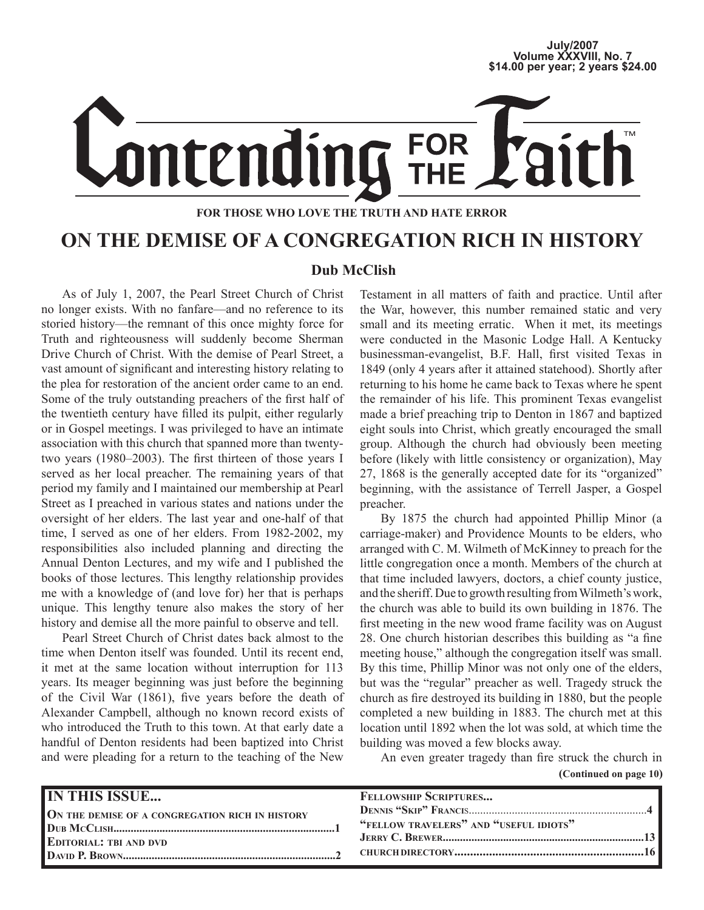# **July/2007 Volume XXXVIII, No. 7 \$14.00 per year; 2 years \$24.00**



#### **FOR THOSE WHO LOVE THE TRUTH AND HATE ERROR**

### **ON THE DEMISE OF A CONGREGATION RICH IN HISTORY**

#### **Dub McClish**

As of July 1, 2007, the Pearl Street Church of Christ no longer exists. With no fanfare—and no reference to its storied history—the remnant of this once mighty force for Truth and righteousness will suddenly become Sherman Drive Church of Christ. With the demise of Pearl Street, a vast amount of significant and interesting history relating to the plea for restoration of the ancient order came to an end. Some of the truly outstanding preachers of the first half of the twentieth century have filled its pulpit, either regularly or in Gospel meetings. I was privileged to have an intimate association with this church that spanned more than twentytwo years (1980–2003). The first thirteen of those years I served as her local preacher. The remaining years of that period my family and I maintained our membership at Pearl Street as I preached in various states and nations under the oversight of her elders. The last year and one-half of that time, I served as one of her elders. From 1982-2002, my responsibilities also included planning and directing the Annual Denton Lectures, and my wife and I published the books of those lectures. This lengthy relationship provides me with a knowledge of (and love for) her that is perhaps unique. This lengthy tenure also makes the story of her history and demise all the more painful to observe and tell.

Pearl Street Church of Christ dates back almost to the time when Denton itself was founded. Until its recent end, it met at the same location without interruption for 113 years. Its meager beginning was just before the beginning of the Civil War (1861), five years before the death of Alexander Campbell, although no known record exists of who introduced the Truth to this town. At that early date a handful of Denton residents had been baptized into Christ and were pleading for a return to the teaching of the New Testament in all matters of faith and practice. Until after the War, however, this number remained static and very small and its meeting erratic. When it met, its meetings were conducted in the Masonic Lodge Hall. A Kentucky businessman-evangelist, B.F. Hall, first visited Texas in 1849 (only 4 years after it attained statehood). Shortly after returning to his home he came back to Texas where he spent the remainder of his life. This prominent Texas evangelist made a brief preaching trip to Denton in 1867 and baptized eight souls into Christ, which greatly encouraged the small group. Although the church had obviously been meeting before (likely with little consistency or organization), May 27, 1868 is the generally accepted date for its "organized" beginning, with the assistance of Terrell Jasper, a Gospel preacher.

By 1875 the church had appointed Phillip Minor (a carriage-maker) and Providence Mounts to be elders, who arranged with C. M. Wilmeth of McKinney to preach for the little congregation once a month. Members of the church at that time included lawyers, doctors, a chief county justice, and the sheriff. Due to growth resulting from Wilmeth's work, the church was able to build its own building in 1876. The first meeting in the new wood frame facility was on August 28. One church historian describes this building as "a fine meeting house," although the congregation itself was small. By this time, Phillip Minor was not only one of the elders, but was the "regular" preacher as well. Tragedy struck the church as fire destroyed its building in 1880, but the people completed a new building in 1883. The church met at this location until 1892 when the lot was sold, at which time the building was moved a few blocks away.

 **(Continued on page 10)** An even greater tragedy than fire struck the church in

| <b>IN THIS ISSUE</b><br>ON THE DEMISE OF A CONGREGATION RICH IN HISTORY | FELLOWSHIP SCRIPTURES<br>"FELLOW TRAVELERS" AND "USEFUL IDIOTS" |
|-------------------------------------------------------------------------|-----------------------------------------------------------------|
| <b>EDITORIAL: TBI AND DVD</b>                                           |                                                                 |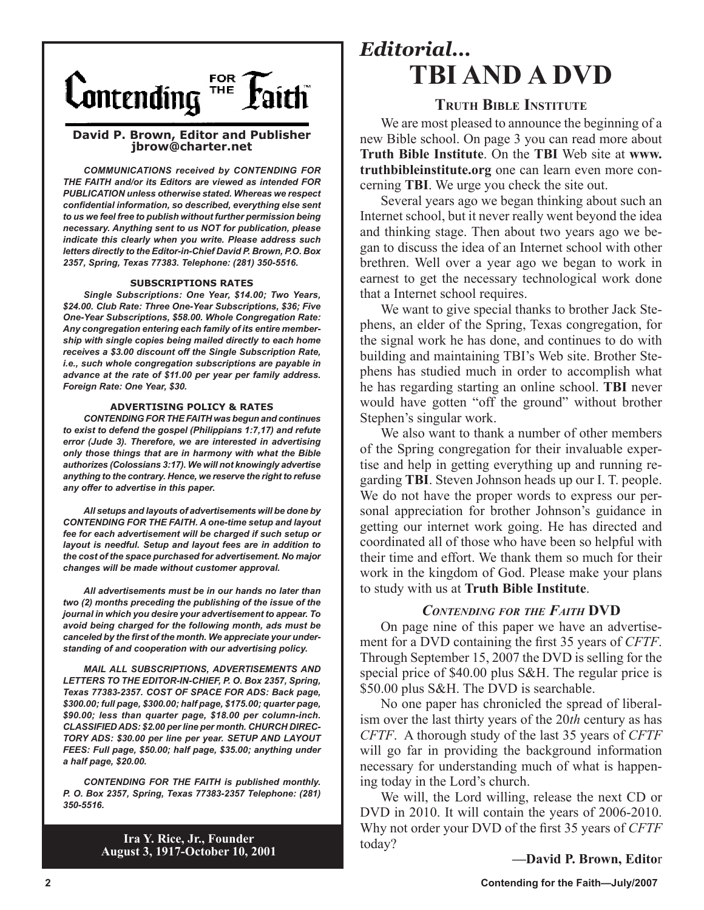

#### **David P. Brown, Editor and Publisher jbrow@charter.net**

*COMMUNICATIONS received by CONTENDING FOR THE FAITH and/or its Editors are viewed as intended FOR PUBLICATION unless otherwise stated. Whereas we respect confidential information, so described, everything else sent to us we feel free to publish without further permission being necessary. Anything sent to us NOT for publication, please indicate this clearly when you write. Please address such letters directly to the Editor-in-Chief David P. Brown, P.O. Box 2357, Spring, Texas 77383. Telephone: (281) 350-5516.*

#### **SUBSCRIPTIONS RATES**

*Single Subscriptions: One Year, \$14.00; Two Years, \$24.00. Club Rate: Three One-Year Subscriptions, \$36; Five One-Year Subscriptions, \$58.00. Whole Congregation Rate: Any congregation entering each family of its entire membership with single copies being mailed directly to each home receives a \$3.00 discount off the Single Subscription Rate, i.e., such whole congregation subscriptions are payable in advance at the rate of \$11.00 per year per family address. Foreign Rate: One Year, \$30.*

#### **ADVERTISING POLICY & RATES**

*CONTENDING FOR THE FAITH was begun and continues to exist to defend the gospel (Philippians 1:7,17) and refute error (Jude 3). Therefore, we are interested in advertising only those things that are in harmony with what the Bible authorizes (Colossians 3:17). We will not knowingly advertise anything to the contrary. Hence, we reserve the right to refuse any offer to advertise in this paper.*

*All setups and layouts of advertisements will be done by CONTENDING FOR THE FAITH. A one-time setup and layout fee for each advertisement will be charged if such setup or layout is needful. Setup and layout fees are in addition to the cost of the space purchased for advertisement. No major changes will be made without customer approval.*

*All advertisements must be in our hands no later than two (2) months preceding the publishing of the issue of the journal in which you desire your advertisement to appear. To avoid being charged for the following month, ads must be canceled by the first of the month. We appreciate your understanding of and cooperation with our advertising policy.*

*MAIL ALL SUBSCRIPTIONS, ADVERTISEMENTS AND LETTERS TO THE EDITOR-IN-CHIEF, P. O. Box 2357, Spring, Texas 77383-2357. COST OF SPACE FOR ADS: Back page, \$300.00; full page, \$300.00; half page, \$175.00; quarter page, \$90.00; less than quarter page, \$18.00 per column-inch. CLASSIFIED ADS: \$2.00 per line per month. CHURCH DIREC-TORY ADS: \$30.00 per line per year. SETUP AND LAYOUT FEES: Full page, \$50.00; half page, \$35.00; anything under a half page, \$20.00.*

*CONTENDING FOR THE FAITH is published monthly. P. O. Box 2357, Spring, Texas 77383-2357 Telephone: (281) 350-5516.*

> **Ira Y. Rice, Jr., Founder August 3, 1917-October 10, 2001**

### *Editorial...* **TBI AND A DVD**

#### **TRUTH BIBLE INSTITUTE**

We are most pleased to announce the beginning of a new Bible school. On page 3 you can read more about **Truth Bible Institute**. On the **TBI** Web site at **www. truthbibleinstitute.org** one can learn even more concerning **TBI**. We urge you check the site out.

Several years ago we began thinking about such an Internet school, but it never really went beyond the idea and thinking stage. Then about two years ago we began to discuss the idea of an Internet school with other brethren. Well over a year ago we began to work in earnest to get the necessary technological work done that a Internet school requires.

We want to give special thanks to brother Jack Stephens, an elder of the Spring, Texas congregation, for the signal work he has done, and continues to do with building and maintaining TBI's Web site. Brother Stephens has studied much in order to accomplish what he has regarding starting an online school. **TBI** never would have gotten "off the ground" without brother Stephen's singular work.

We also want to thank a number of other members of the Spring congregation for their invaluable expertise and help in getting everything up and running regarding **TBI**. Steven Johnson heads up our I. T. people. We do not have the proper words to express our personal appreciation for brother Johnson's guidance in getting our internet work going. He has directed and coordinated all of those who have been so helpful with their time and effort. We thank them so much for their work in the kingdom of God. Please make your plans to study with us at **Truth Bible Institute**.

#### *CONTENDING FOR THE FAITH* **DVD**

On page nine of this paper we have an advertisement for a DVD containing the first 35 years of *CFTF*. Through September 15, 2007 the DVD is selling for the special price of \$40.00 plus S&H. The regular price is \$50.00 plus S&H. The DVD is searchable.

No one paper has chronicled the spread of liberalism over the last thirty years of the 20*th* century as has *CFTF*. A thorough study of the last 35 years of *CFTF* will go far in providing the background information necessary for understanding much of what is happening today in the Lord's church.

We will, the Lord willing, release the next CD or DVD in 2010. It will contain the years of 2006-2010. Why not order your DVD of the first 35 years of *CFTF*  today?

**—David P. Brown, Edito**r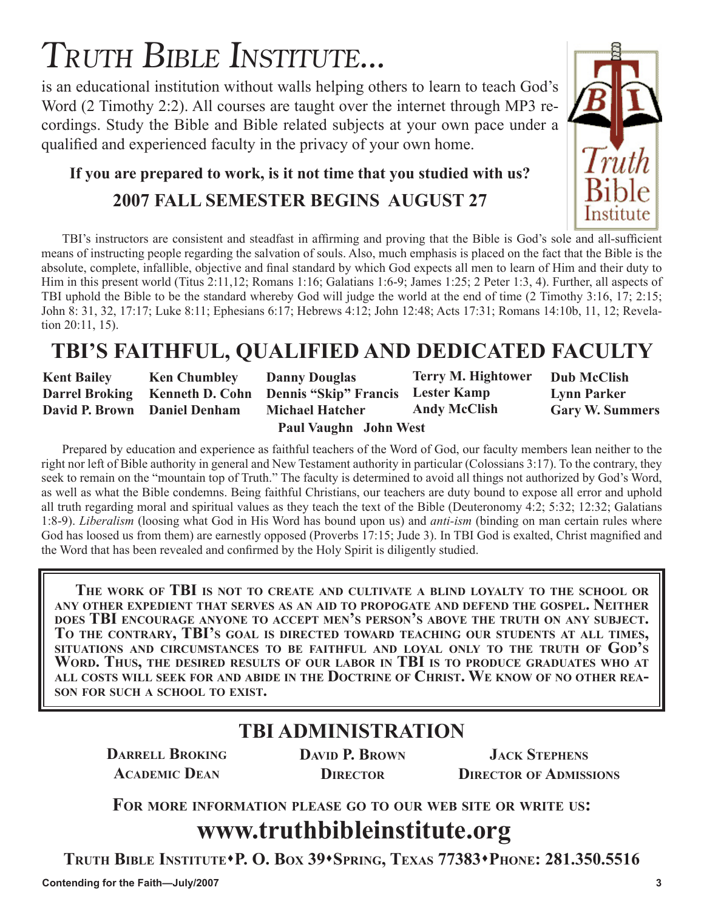# TRUTH BIBLE INSTITUTE...

is an educational institution without walls helping others to learn to teach God's Word (2 Timothy 2:2). All courses are taught over the internet through MP3 recordings. Study the Bible and Bible related subjects at your own pace under a qualified and experienced faculty in the privacy of your own home.

### **If you are prepared to work, is it not time that you studied with us?**

### **2007 FALL SEMESTER BEGINS AUGUST 27**

TBI's instructors are consistent and steadfast in affirming and proving that the Bible is God's sole and all-sufficient means of instructing people regarding the salvation of souls. Also, much emphasis is placed on the fact that the Bible is the absolute, complete, infallible, objective and final standard by which God expects all men to learn of Him and their duty to Him in this present world (Titus 2:11,12; Romans 1:16; Galatians 1:6-9; James 1:25; 2 Peter 1:3, 4). Further, all aspects of TBI uphold the Bible to be the standard whereby God will judge the world at the end of time (2 Timothy 3:16, 17; 2:15; John 8: 31, 32, 17:17; Luke 8:11; Ephesians 6:17; Hebrews 4:12; John 12:48; Acts 17:31; Romans 14:10b, 11, 12; Revelation 20:11, 15).

### **TBI'S FAITHFUL, QUALIFIED AND DEDICATED FACULTY**

| <b>Kent Bailey</b>           | <b>Ken Chumbley</b> | <b>Danny Douglas</b>                                             | <b>Terry M. Hightower</b> | <b>Dub McClish</b>     |
|------------------------------|---------------------|------------------------------------------------------------------|---------------------------|------------------------|
|                              |                     | Darrel Broking Kenneth D. Cohn Dennis "Skip" Francis Lester Kamp |                           | <b>Lynn Parker</b>     |
| David P. Brown Daniel Denham |                     | <b>Michael Hatcher</b>                                           | <b>Andy McClish</b>       | <b>Gary W. Summers</b> |
|                              |                     |                                                                  |                           |                        |

**Paul Vaughn John West**

Prepared by education and experience as faithful teachers of the Word of God, our faculty members lean neither to the right nor left of Bible authority in general and New Testament authority in particular (Colossians 3:17). To the contrary, they seek to remain on the "mountain top of Truth." The faculty is determined to avoid all things not authorized by God's Word, as well as what the Bible condemns. Being faithful Christians, our teachers are duty bound to expose all error and uphold all truth regarding moral and spiritual values as they teach the text of the Bible (Deuteronomy 4:2; 5:32; 12:32; Galatians 1:8-9). *Liberalism* (loosing what God in His Word has bound upon us) and *anti-ism* (binding on man certain rules where God has loosed us from them) are earnestly opposed (Proverbs 17:15; Jude 3). In TBI God is exalted, Christ magnified and the Word that has been revealed and confirmed by the Holy Spirit is diligently studied.

**THE WORK OF TBI IS NOT TO CREATE AND CULTIVATE A BLIND LOYALTY TO THE SCHOOL OR ANY OTHER EXPEDIENT THAT SERVES AS AN AID TO PROPOGATE AND DEFEND THE GOSPEL. NEITHER** DOES TBI ENCOURAGE ANYONE TO ACCEPT MEN'S PERSON'S ABOVE THE TRUTH ON ANY SUBJECT.<br>TO THE CONTRARY, TBI'S GOAL IS DIRECTED TOWARD TEACHING OUR STUDENTS AT ALL TIMES, **SITUATIONS AND CIRCUMSTANCES TO BE FAITHFUL AND LOYAL ONLY TO THE TRUTH OF GOD'S WORD. THUS, THE DESIRED RESULTS OF OUR LABOR IN TBI IS TO PRODUCE GRADUATES WHO AT ALL COSTS WILL SEEK FOR AND ABIDE IN THE DOCTRINE OF CHRIST. WE KNOW OF NO OTHER REA- SON FOR SUCH A SCHOOL TO EXIST.**

### **TBI ADMINISTRATION**

**DARRELL BROKING ACADEMIC DEAN**

**DAVID P. BROWN DIRECTOR**

**JACK STEPHENS DIRECTOR OF ADMISSIONS**

**FOR MORE INFORMATION PLEASE GO TO OUR WEB SITE OR WRITE US:**

### **www.truthbibleinstitute.org**

**TRUTH BIBLE INSTITUTEP. O. BOX 39SPRING, TEXAS 77383PHONE: 281.350.5516** 

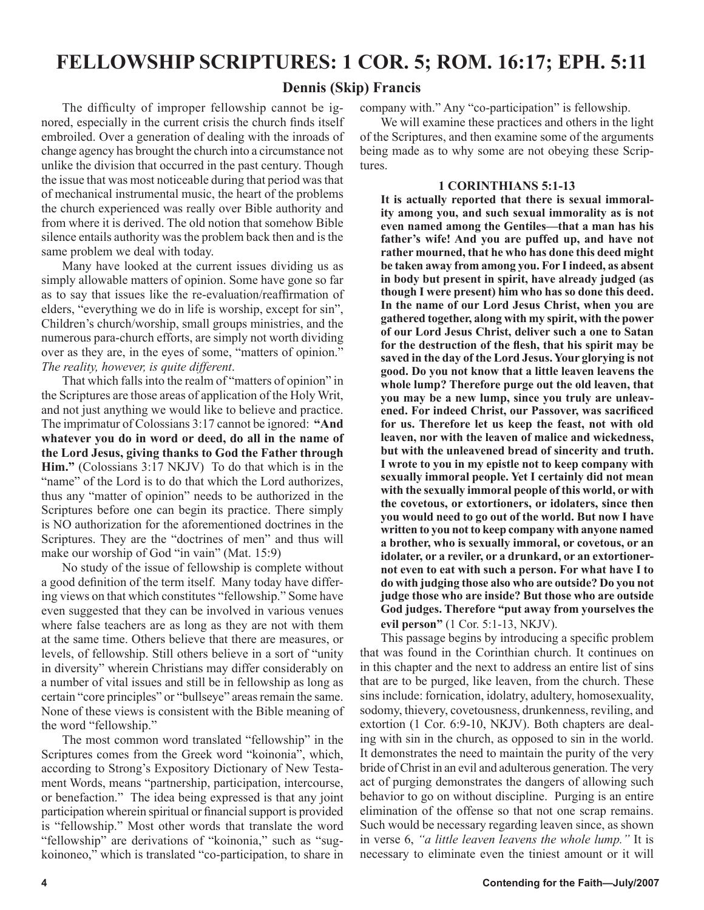### **FELLOWSHIP SCRIPTURES: 1 COR. 5; ROM. 16:17; EPH. 5:11**

#### **Dennis (Skip) Francis**

The difficulty of improper fellowship cannot be ignored, especially in the current crisis the church finds itself embroiled. Over a generation of dealing with the inroads of change agency has brought the church into a circumstance not unlike the division that occurred in the past century. Though the issue that was most noticeable during that period was that of mechanical instrumental music, the heart of the problems the church experienced was really over Bible authority and from where it is derived. The old notion that somehow Bible silence entails authority was the problem back then and is the same problem we deal with today.

Many have looked at the current issues dividing us as simply allowable matters of opinion. Some have gone so far as to say that issues like the re-evaluation/reaffirmation of elders, "everything we do in life is worship, except for sin", Children's church/worship, small groups ministries, and the numerous para-church efforts, are simply not worth dividing over as they are, in the eyes of some, "matters of opinion." *The reality, however, is quite different*.

That which falls into the realm of "matters of opinion" in the Scriptures are those areas of application of the Holy Writ, and not just anything we would like to believe and practice. The imprimatur of Colossians 3:17 cannot be ignored: **"And whatever you do in word or deed, do all in the name of the Lord Jesus, giving thanks to God the Father through Him."** (Colossians 3:17 NKJV) To do that which is in the "name" of the Lord is to do that which the Lord authorizes, thus any "matter of opinion" needs to be authorized in the Scriptures before one can begin its practice. There simply is NO authorization for the aforementioned doctrines in the Scriptures. They are the "doctrines of men" and thus will make our worship of God "in vain" (Mat. 15:9)

No study of the issue of fellowship is complete without a good definition of the term itself. Many today have differing views on that which constitutes "fellowship." Some have even suggested that they can be involved in various venues where false teachers are as long as they are not with them at the same time. Others believe that there are measures, or levels, of fellowship. Still others believe in a sort of "unity in diversity" wherein Christians may differ considerably on a number of vital issues and still be in fellowship as long as certain "core principles" or "bullseye" areas remain the same. None of these views is consistent with the Bible meaning of the word "fellowship."

The most common word translated "fellowship" in the Scriptures comes from the Greek word "koinonia", which, according to Strong's Expository Dictionary of New Testament Words, means "partnership, participation, intercourse, or benefaction." The idea being expressed is that any joint participation wherein spiritual or financial support is provided is "fellowship." Most other words that translate the word "fellowship" are derivations of "koinonia," such as "sugkoinoneo," which is translated "co-participation, to share in

company with." Any "co-participation" is fellowship.

We will examine these practices and others in the light of the Scriptures, and then examine some of the arguments being made as to why some are not obeying these Scriptures.

#### **1 CORINTHIANS 5:1-13**

**It is actually reported that there is sexual immorality among you, and such sexual immorality as is not even named among the Gentiles—that a man has his father's wife! And you are puffed up, and have not rather mourned, that he who has done this deed might be taken away from among you. For I indeed, as absent in body but present in spirit, have already judged (as though I were present) him who has so done this deed. In the name of our Lord Jesus Christ, when you are gathered together, along with my spirit, with the power of our Lord Jesus Christ, deliver such a one to Satan for the destruction of the flesh, that his spirit may be saved in the day of the Lord Jesus. Your glorying is not good. Do you not know that a little leaven leavens the whole lump? Therefore purge out the old leaven, that you may be a new lump, since you truly are unleavened. For indeed Christ, our Passover, was sacrificed for us. Therefore let us keep the feast, not with old leaven, nor with the leaven of malice and wickedness, but with the unleavened bread of sincerity and truth. I wrote to you in my epistle not to keep company with sexually immoral people. Yet I certainly did not mean with the sexually immoral people of this world, or with the covetous, or extortioners, or idolaters, since then you would need to go out of the world. But now I have written to you not to keep company with anyone named a brother, who is sexually immoral, or covetous, or an idolater, or a reviler, or a drunkard, or an extortionernot even to eat with such a person. For what have I to do with judging those also who are outside? Do you not judge those who are inside? But those who are outside God judges. Therefore "put away from yourselves the evil person"** (1 Cor. 5:1-13, NKJV).

This passage begins by introducing a specific problem that was found in the Corinthian church. It continues on in this chapter and the next to address an entire list of sins that are to be purged, like leaven, from the church. These sins include: fornication, idolatry, adultery, homosexuality, sodomy, thievery, covetousness, drunkenness, reviling, and extortion (1 Cor. 6:9-10, NKJV). Both chapters are dealing with sin in the church, as opposed to sin in the world. It demonstrates the need to maintain the purity of the very bride of Christ in an evil and adulterous generation. The very act of purging demonstrates the dangers of allowing such behavior to go on without discipline. Purging is an entire elimination of the offense so that not one scrap remains. Such would be necessary regarding leaven since, as shown in verse 6, *"a little leaven leavens the whole lump."* It is necessary to eliminate even the tiniest amount or it will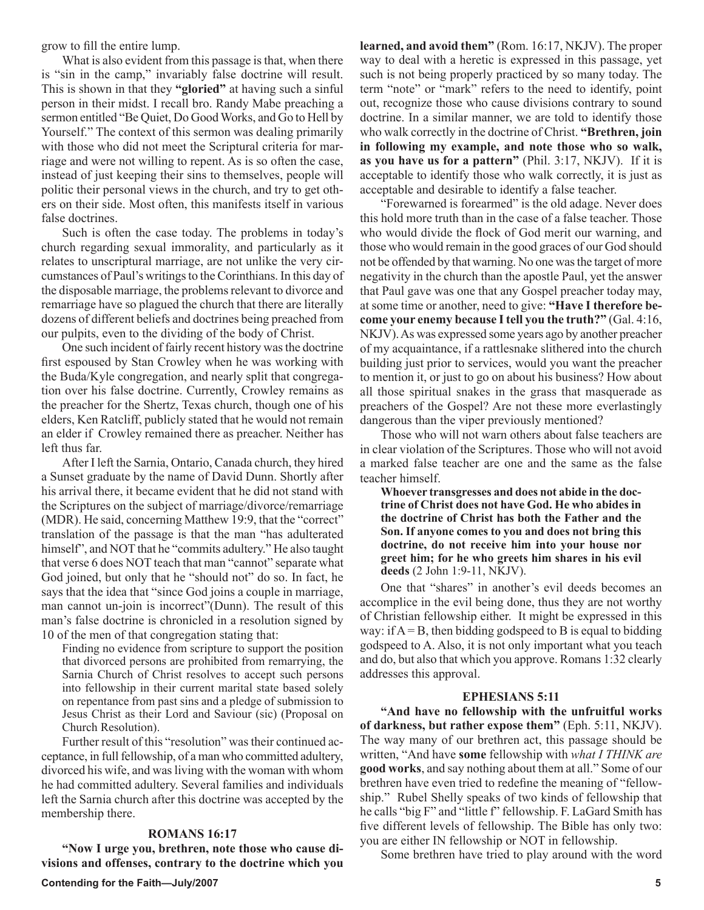grow to fill the entire lump.

What is also evident from this passage is that, when there is "sin in the camp," invariably false doctrine will result. This is shown in that they **"gloried"** at having such a sinful person in their midst. I recall bro. Randy Mabe preaching a sermon entitled "Be Quiet, Do Good Works, and Go to Hell by Yourself." The context of this sermon was dealing primarily with those who did not meet the Scriptural criteria for marriage and were not willing to repent. As is so often the case, instead of just keeping their sins to themselves, people will politic their personal views in the church, and try to get others on their side. Most often, this manifests itself in various false doctrines.

Such is often the case today. The problems in today's church regarding sexual immorality, and particularly as it relates to unscriptural marriage, are not unlike the very circumstances of Paul's writings to the Corinthians. In this day of the disposable marriage, the problems relevant to divorce and remarriage have so plagued the church that there are literally dozens of different beliefs and doctrines being preached from our pulpits, even to the dividing of the body of Christ.

One such incident of fairly recent history was the doctrine first espoused by Stan Crowley when he was working with the Buda/Kyle congregation, and nearly split that congregation over his false doctrine. Currently, Crowley remains as the preacher for the Shertz, Texas church, though one of his elders, Ken Ratcliff, publicly stated that he would not remain an elder if Crowley remained there as preacher. Neither has left thus far.

After I left the Sarnia, Ontario, Canada church, they hired a Sunset graduate by the name of David Dunn. Shortly after his arrival there, it became evident that he did not stand with the Scriptures on the subject of marriage/divorce/remarriage (MDR). He said, concerning Matthew 19:9, that the "correct" translation of the passage is that the man "has adulterated himself", and NOT that he "commits adultery." He also taught that verse 6 does NOT teach that man "cannot" separate what God joined, but only that he "should not" do so. In fact, he says that the idea that "since God joins a couple in marriage, man cannot un-join is incorrect"(Dunn). The result of this man's false doctrine is chronicled in a resolution signed by 10 of the men of that congregation stating that:

Finding no evidence from scripture to support the position that divorced persons are prohibited from remarrying, the Sarnia Church of Christ resolves to accept such persons into fellowship in their current marital state based solely on repentance from past sins and a pledge of submission to Jesus Christ as their Lord and Saviour (sic) (Proposal on Church Resolution).

Further result of this "resolution" was their continued acceptance, in full fellowship, of a man who committed adultery, divorced his wife, and was living with the woman with whom he had committed adultery. Several families and individuals left the Sarnia church after this doctrine was accepted by the membership there.

#### **ROMANS 16:17**

**"Now I urge you, brethren, note those who cause divisions and offenses, contrary to the doctrine which you**  **learned, and avoid them"** (Rom. 16:17, NKJV). The proper way to deal with a heretic is expressed in this passage, yet such is not being properly practiced by so many today. The term "note" or "mark" refers to the need to identify, point out, recognize those who cause divisions contrary to sound doctrine. In a similar manner, we are told to identify those who walk correctly in the doctrine of Christ. **"Brethren, join in following my example, and note those who so walk, as you have us for a pattern"** (Phil. 3:17, NKJV). If it is acceptable to identify those who walk correctly, it is just as acceptable and desirable to identify a false teacher.

"Forewarned is forearmed" is the old adage. Never does this hold more truth than in the case of a false teacher. Those who would divide the flock of God merit our warning, and those who would remain in the good graces of our God should not be offended by that warning. No one was the target of more negativity in the church than the apostle Paul, yet the answer that Paul gave was one that any Gospel preacher today may, at some time or another, need to give: **"Have I therefore become your enemy because I tell you the truth?"** (Gal. 4:16, NKJV). As was expressed some years ago by another preacher of my acquaintance, if a rattlesnake slithered into the church building just prior to services, would you want the preacher to mention it, or just to go on about his business? How about all those spiritual snakes in the grass that masquerade as preachers of the Gospel? Are not these more everlastingly dangerous than the viper previously mentioned?

Those who will not warn others about false teachers are in clear violation of the Scriptures. Those who will not avoid a marked false teacher are one and the same as the false teacher himself.

**Whoever transgresses and does not abide in the doctrine of Christ does not have God. He who abides in the doctrine of Christ has both the Father and the Son. If anyone comes to you and does not bring this doctrine, do not receive him into your house nor greet him; for he who greets him shares in his evil deeds** (2 John 1:9-11, NKJV).

One that "shares" in another's evil deeds becomes an accomplice in the evil being done, thus they are not worthy of Christian fellowship either. It might be expressed in this way: if  $A = B$ , then bidding godspeed to B is equal to bidding godspeed to A. Also, it is not only important what you teach and do, but also that which you approve. Romans 1:32 clearly addresses this approval.

#### **EPHESIANS 5:11**

**"And have no fellowship with the unfruitful works of darkness, but rather expose them"** (Eph. 5:11, NKJV). The way many of our brethren act, this passage should be written, "And have **some** fellowship with *what I THINK are* **good works**, and say nothing about them at all." Some of our brethren have even tried to redefine the meaning of "fellowship." Rubel Shelly speaks of two kinds of fellowship that he calls "big F" and "little f" fellowship. F. LaGard Smith has five different levels of fellowship. The Bible has only two: you are either IN fellowship or NOT in fellowship.

Some brethren have tried to play around with the word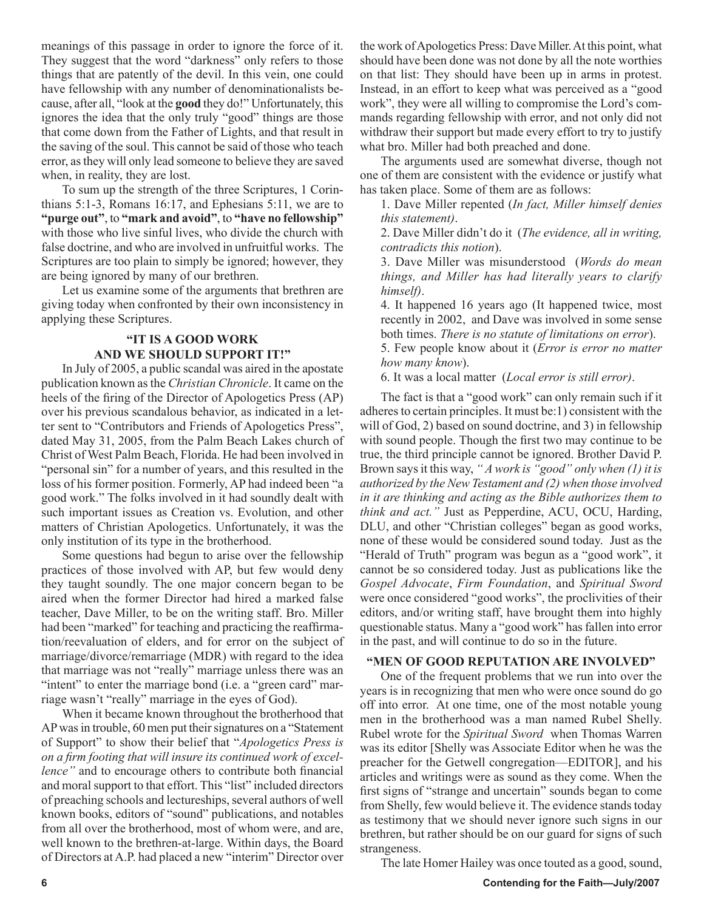meanings of this passage in order to ignore the force of it. They suggest that the word "darkness" only refers to those things that are patently of the devil. In this vein, one could have fellowship with any number of denominationalists because, after all, "look at the **good** they do!" Unfortunately, this ignores the idea that the only truly "good" things are those that come down from the Father of Lights, and that result in the saving of the soul. This cannot be said of those who teach error, as they will only lead someone to believe they are saved when, in reality, they are lost.

To sum up the strength of the three Scriptures, 1 Corinthians 5:1-3, Romans 16:17, and Ephesians 5:11, we are to **"purge out"**, to **"mark and avoid"**, to **"have no fellowship"** with those who live sinful lives, who divide the church with false doctrine, and who are involved in unfruitful works. The Scriptures are too plain to simply be ignored; however, they are being ignored by many of our brethren.

Let us examine some of the arguments that brethren are giving today when confronted by their own inconsistency in applying these Scriptures.

#### **"IT IS A GOOD WORK AND WE SHOULD SUPPORT IT!"**

In July of 2005, a public scandal was aired in the apostate publication known as the *Christian Chronicle*. It came on the heels of the firing of the Director of Apologetics Press (AP) over his previous scandalous behavior, as indicated in a letter sent to "Contributors and Friends of Apologetics Press", dated May 31, 2005, from the Palm Beach Lakes church of Christ of West Palm Beach, Florida. He had been involved in "personal sin" for a number of years, and this resulted in the loss of his former position. Formerly, AP had indeed been "a good work." The folks involved in it had soundly dealt with such important issues as Creation vs. Evolution, and other matters of Christian Apologetics. Unfortunately, it was the only institution of its type in the brotherhood.

Some questions had begun to arise over the fellowship practices of those involved with AP, but few would deny they taught soundly. The one major concern began to be aired when the former Director had hired a marked false teacher, Dave Miller, to be on the writing staff. Bro. Miller had been "marked" for teaching and practicing the reaffirmation/reevaluation of elders, and for error on the subject of marriage/divorce/remarriage (MDR) with regard to the idea that marriage was not "really" marriage unless there was an "intent" to enter the marriage bond (i.e. a "green card" marriage wasn't "really" marriage in the eyes of God).

When it became known throughout the brotherhood that AP was in trouble, 60 men put their signatures on a "Statement of Support" to show their belief that "*Apologetics Press is on a firm footing that will insure its continued work of excellence"* and to encourage others to contribute both financial and moral support to that effort. This "list" included directors of preaching schools and lectureships, several authors of well known books, editors of "sound" publications, and notables from all over the brotherhood, most of whom were, and are, well known to the brethren-at-large. Within days, the Board of Directors at A.P. had placed a new "interim" Director over

the work of Apologetics Press: Dave Miller. At this point, what should have been done was not done by all the note worthies on that list: They should have been up in arms in protest. Instead, in an effort to keep what was perceived as a "good work", they were all willing to compromise the Lord's commands regarding fellowship with error, and not only did not withdraw their support but made every effort to try to justify what bro. Miller had both preached and done.

The arguments used are somewhat diverse, though not one of them are consistent with the evidence or justify what has taken place. Some of them are as follows:

1. Dave Miller repented (*In fact, Miller himself denies this statement)*.

2. Dave Miller didn't do it (*The evidence, all in writing, contradicts this notion*).

3. Dave Miller was misunderstood (*Words do mean things, and Miller has had literally years to clarify himself)*.

4. It happened 16 years ago (It happened twice, most recently in 2002, and Dave was involved in some sense both times. *There is no statute of limitations on error*).

5. Few people know about it (*Error is error no matter how many know*).

6. It was a local matter (*Local error is still error)*.

The fact is that a "good work" can only remain such if it adheres to certain principles. It must be:1) consistent with the will of God, 2) based on sound doctrine, and 3) in fellowship with sound people. Though the first two may continue to be true, the third principle cannot be ignored. Brother David P. Brown says it this way, *" A work is "good" only when (1) it is authorized by the New Testament and (2) when those involved in it are thinking and acting as the Bible authorizes them to think and act."* Just as Pepperdine, ACU, OCU, Harding, DLU, and other "Christian colleges" began as good works, none of these would be considered sound today. Just as the "Herald of Truth" program was begun as a "good work", it cannot be so considered today. Just as publications like the *Gospel Advocate*, *Firm Foundation*, and *Spiritual Sword* were once considered "good works", the proclivities of their editors, and/or writing staff, have brought them into highly questionable status. Many a "good work" has fallen into error in the past, and will continue to do so in the future.

#### **"MEN OF GOOD REPUTATION ARE INVOLVED"**

One of the frequent problems that we run into over the years is in recognizing that men who were once sound do go off into error. At one time, one of the most notable young men in the brotherhood was a man named Rubel Shelly. Rubel wrote for the *Spiritual Sword* when Thomas Warren was its editor [Shelly was Associate Editor when he was the preacher for the Getwell congregation—EDITOR], and his articles and writings were as sound as they come. When the first signs of "strange and uncertain" sounds began to come from Shelly, few would believe it. The evidence stands today as testimony that we should never ignore such signs in our brethren, but rather should be on our guard for signs of such strangeness.

The late Homer Hailey was once touted as a good, sound,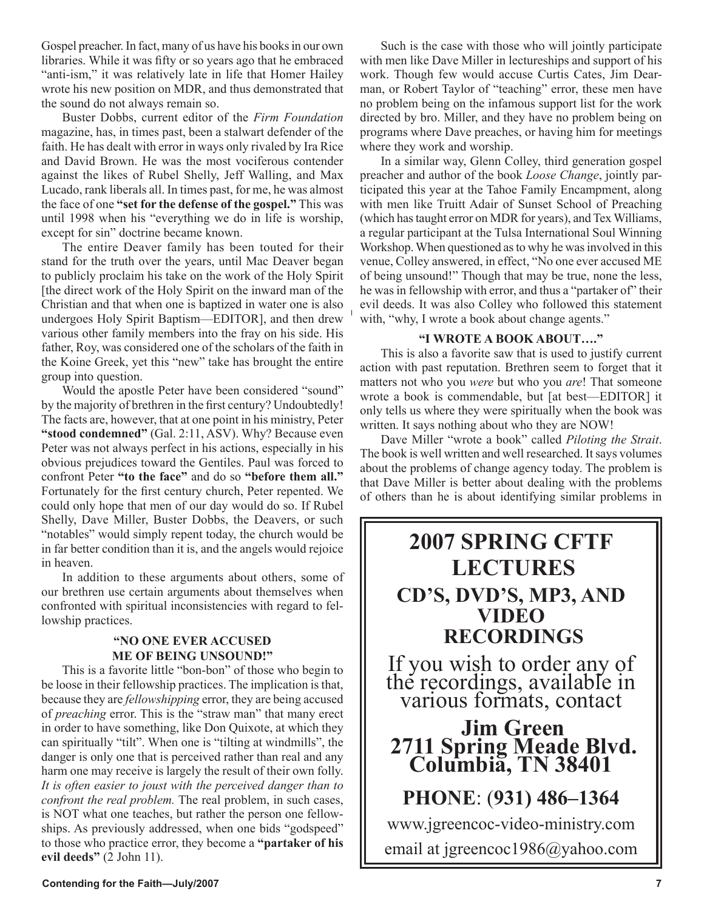Gospel preacher. In fact, many of us have his books in our own libraries. While it was fifty or so years ago that he embraced "anti-ism," it was relatively late in life that Homer Hailey wrote his new position on MDR, and thus demonstrated that the sound do not always remain so.

Buster Dobbs, current editor of the *Firm Foundation*  magazine, has, in times past, been a stalwart defender of the faith. He has dealt with error in ways only rivaled by Ira Rice and David Brown. He was the most vociferous contender against the likes of Rubel Shelly, Jeff Walling, and Max Lucado, rank liberals all. In times past, for me, he was almost the face of one **"set for the defense of the gospel."** This was until 1998 when his "everything we do in life is worship, except for sin" doctrine became known.

The entire Deaver family has been touted for their stand for the truth over the years, until Mac Deaver began to publicly proclaim his take on the work of the Holy Spirit [the direct work of the Holy Spirit on the inward man of the Christian and that when one is baptized in water one is also undergoes Holy Spirit Baptism—EDITOR], and then drew various other family members into the fray on his side. His father, Roy, was considered one of the scholars of the faith in the Koine Greek, yet this "new" take has brought the entire group into question.

Would the apostle Peter have been considered "sound" by the majority of brethren in the first century? Undoubtedly! The facts are, however, that at one point in his ministry, Peter **"stood condemned"** (Gal. 2:11, ASV). Why? Because even Peter was not always perfect in his actions, especially in his obvious prejudices toward the Gentiles. Paul was forced to confront Peter **"to the face"** and do so **"before them all."** Fortunately for the first century church, Peter repented. We could only hope that men of our day would do so. If Rubel Shelly, Dave Miller, Buster Dobbs, the Deavers, or such "notables" would simply repent today, the church would be in far better condition than it is, and the angels would rejoice in heaven.

In addition to these arguments about others, some of our brethren use certain arguments about themselves when confronted with spiritual inconsistencies with regard to fellowship practices.

#### **"NO ONE EVER ACCUSED ME OF BEING UNSOUND!"**

This is a favorite little "bon-bon" of those who begin to be loose in their fellowship practices. The implication is that, because they are *fellowshipping* error, they are being accused of *preaching* error. This is the "straw man" that many erect in order to have something, like Don Quixote, at which they can spiritually "tilt". When one is "tilting at windmills", the danger is only one that is perceived rather than real and any harm one may receive is largely the result of their own folly. *It is often easier to joust with the perceived danger than to confront the real problem.* The real problem, in such cases, is NOT what one teaches, but rather the person one fellowships. As previously addressed, when one bids "godspeed" to those who practice error, they become a **"partaker of his evil deeds"** (2 John 11).

Such is the case with those who will jointly participate with men like Dave Miller in lectureships and support of his work. Though few would accuse Curtis Cates, Jim Dearman, or Robert Taylor of "teaching" error, these men have no problem being on the infamous support list for the work directed by bro. Miller, and they have no problem being on programs where Dave preaches, or having him for meetings where they work and worship.

In a similar way, Glenn Colley, third generation gospel preacher and author of the book *Loose Change*, jointly participated this year at the Tahoe Family Encampment, along with men like Truitt Adair of Sunset School of Preaching (which has taught error on MDR for years), and Tex Williams, a regular participant at the Tulsa International Soul Winning Workshop. When questioned as to why he was involved in this venue, Colley answered, in effect, "No one ever accused ME of being unsound!" Though that may be true, none the less, he was in fellowship with error, and thus a "partaker of" their evil deeds. It was also Colley who followed this statement with, "why, I wrote a book about change agents."

#### **"I WROTE A BOOK ABOUT…."**

This is also a favorite saw that is used to justify current action with past reputation. Brethren seem to forget that it matters not who you *were* but who you *are*! That someone wrote a book is commendable, but [at best—EDITOR] it only tells us where they were spiritually when the book was written. It says nothing about who they are NOW!

Dave Miller "wrote a book" called *Piloting the Strait*. The book is well written and well researched. It says volumes about the problems of change agency today. The problem is that Dave Miller is better about dealing with the problems of others than he is about identifying similar problems in

### **2007 SPRING CFTF LECTURES CD'S, DVD'S, MP3, AND VIDEO RECORDINGS**

If you wish to order any of the recordings, available in various formats, contact

## **Jim Green 2711 Spring Meade Blvd. Columbia, TN 38401**

**PHONE**: (**931) 486–1364**

www.jgreencoc-video-ministry.com email at jgreencoc1986@yahoo.com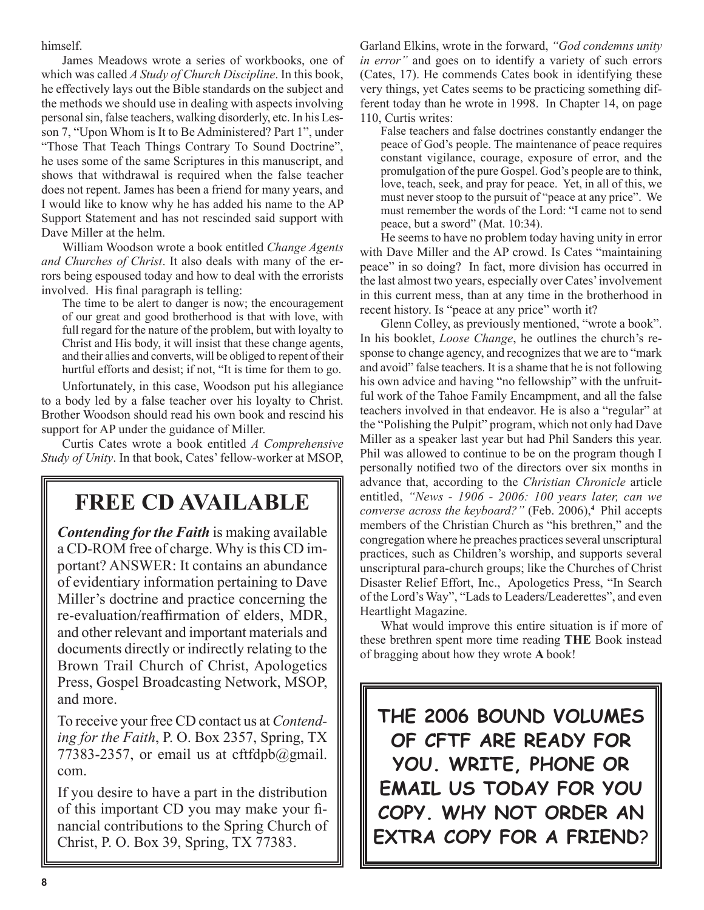himself.

James Meadows wrote a series of workbooks, one of which was called *A Study of Church Discipline*. In this book, he effectively lays out the Bible standards on the subject and the methods we should use in dealing with aspects involving personal sin, false teachers, walking disorderly, etc. In his Lesson 7, "Upon Whom is It to Be Administered? Part 1", under "Those That Teach Things Contrary To Sound Doctrine", he uses some of the same Scriptures in this manuscript, and shows that withdrawal is required when the false teacher does not repent. James has been a friend for many years, and I would like to know why he has added his name to the AP Support Statement and has not rescinded said support with Dave Miller at the helm.

William Woodson wrote a book entitled *Change Agents and Churches of Christ*. It also deals with many of the errors being espoused today and how to deal with the errorists involved. His final paragraph is telling:

The time to be alert to danger is now; the encouragement of our great and good brotherhood is that with love, with full regard for the nature of the problem, but with loyalty to Christ and His body, it will insist that these change agents, and their allies and converts, will be obliged to repent of their hurtful efforts and desist; if not, "It is time for them to go.

Unfortunately, in this case, Woodson put his allegiance to a body led by a false teacher over his loyalty to Christ. Brother Woodson should read his own book and rescind his support for AP under the guidance of Miller.

Curtis Cates wrote a book entitled *A Comprehensive Study of Unity*. In that book, Cates' fellow-worker at MSOP,

### **FREE CD AVAILABLE**

*Contending for the Faith* is making available a CD-ROM free of charge. Why is this CD important? ANSWER: It contains an abundance of evidentiary information pertaining to Dave Miller's doctrine and practice concerning the re-evaluation/reaffirmation of elders, MDR, and other relevant and important materials and documents directly or indirectly relating to the Brown Trail Church of Christ, Apologetics Press, Gospel Broadcasting Network, MSOP, and more.

To receive your free CD contact us at *Contending for the Faith*, P. O. Box 2357, Spring, TX 77383-2357, or email us at cftfdpb $@g$ gmail. com.

If you desire to have a part in the distribution of this important CD you may make your financial contributions to the Spring Church of Christ, P. O. Box 39, Spring, TX 77383.

Garland Elkins, wrote in the forward, *"God condemns unity in error"* and goes on to identify a variety of such errors (Cates, 17). He commends Cates book in identifying these very things, yet Cates seems to be practicing something different today than he wrote in 1998. In Chapter 14, on page 110, Curtis writes:

False teachers and false doctrines constantly endanger the peace of God's people. The maintenance of peace requires constant vigilance, courage, exposure of error, and the promulgation of the pure Gospel. God's people are to think, love, teach, seek, and pray for peace. Yet, in all of this, we must never stoop to the pursuit of "peace at any price". We must remember the words of the Lord: "I came not to send peace, but a sword" (Mat. 10:34).

He seems to have no problem today having unity in error with Dave Miller and the AP crowd. Is Cates "maintaining peace" in so doing? In fact, more division has occurred in the last almost two years, especially over Cates' involvement in this current mess, than at any time in the brotherhood in recent history. Is "peace at any price" worth it?

Glenn Colley, as previously mentioned, "wrote a book". In his booklet, *Loose Change*, he outlines the church's response to change agency, and recognizes that we are to "mark and avoid" false teachers. It is a shame that he is not following his own advice and having "no fellowship" with the unfruitful work of the Tahoe Family Encampment, and all the false teachers involved in that endeavor. He is also a "regular" at the "Polishing the Pulpit" program, which not only had Dave Miller as a speaker last year but had Phil Sanders this year. Phil was allowed to continue to be on the program though I personally notified two of the directors over six months in advance that, according to the *Christian Chronicle* article entitled, *"News - 1906 - 2006: 100 years later, can we converse across the keyboard?"* (Feb. 2006),<sup>4</sup> Phil accepts members of the Christian Church as "his brethren," and the congregation where he preaches practices several unscriptural practices, such as Children's worship, and supports several unscriptural para-church groups; like the Churches of Christ Disaster Relief Effort, Inc., Apologetics Press, "In Search of the Lord's Way", "Lads to Leaders/Leaderettes", and even Heartlight Magazine.

What would improve this entire situation is if more of these brethren spent more time reading **THE** Book instead of bragging about how they wrote **A** book!

**THE 2006 BOUND VOLUMES OF CFTF ARE READY FOR YOU. WRITE, PHONE OR EMAIL US TODAY FOR YOU COPY. WHY NOT ORDER AN EXTRA COPY FOR A FRIEND**?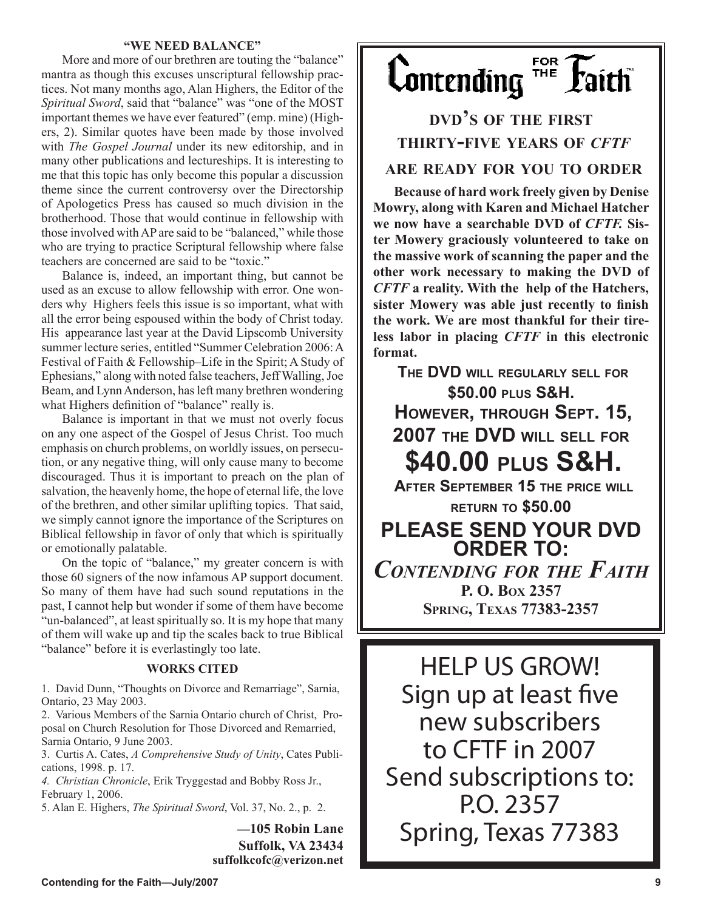#### **"WE NEED BALANCE"**

More and more of our brethren are touting the "balance" mantra as though this excuses unscriptural fellowship practices. Not many months ago, Alan Highers, the Editor of the *Spiritual Sword*, said that "balance" was "one of the MOST important themes we have ever featured" (emp. mine) (Highers, 2). Similar quotes have been made by those involved with *The Gospel Journal* under its new editorship, and in many other publications and lectureships. It is interesting to me that this topic has only become this popular a discussion theme since the current controversy over the Directorship of Apologetics Press has caused so much division in the brotherhood. Those that would continue in fellowship with those involved with AP are said to be "balanced," while those who are trying to practice Scriptural fellowship where false teachers are concerned are said to be "toxic."

Balance is, indeed, an important thing, but cannot be used as an excuse to allow fellowship with error. One wonders why Highers feels this issue is so important, what with all the error being espoused within the body of Christ today. His appearance last year at the David Lipscomb University summer lecture series, entitled "Summer Celebration 2006: A Festival of Faith & Fellowship–Life in the Spirit; A Study of Ephesians," along with noted false teachers, Jeff Walling, Joe Beam, and Lynn Anderson, has left many brethren wondering what Highers definition of "balance" really is.

Balance is important in that we must not overly focus on any one aspect of the Gospel of Jesus Christ. Too much emphasis on church problems, on worldly issues, on persecution, or any negative thing, will only cause many to become discouraged. Thus it is important to preach on the plan of salvation, the heavenly home, the hope of eternal life, the love of the brethren, and other similar uplifting topics. That said, we simply cannot ignore the importance of the Scriptures on Biblical fellowship in favor of only that which is spiritually or emotionally palatable.

On the topic of "balance," my greater concern is with those 60 signers of the now infamous AP support document. So many of them have had such sound reputations in the past, I cannot help but wonder if some of them have become "un-balanced", at least spiritually so. It is my hope that many of them will wake up and tip the scales back to true Biblical "balance" before it is everlastingly too late.

#### **WORKS CITED**

1. David Dunn, "Thoughts on Divorce and Remarriage", Sarnia, Ontario, 23 May 2003.

2. Various Members of the Sarnia Ontario church of Christ, Proposal on Church Resolution for Those Divorced and Remarried, Sarnia Ontario, 9 June 2003.

3. Curtis A. Cates, *A Comprehensive Study of Unity*, Cates Publications, 1998. p. 17.

*4. Christian Chronicle*, Erik Tryggestad and Bobby Ross Jr., February 1, 2006.

5. Alan E. Highers, *The Spiritual Sword*, Vol. 37, No. 2., p. 2.

**—105 Robin Lane Suffolk, VA 23434 suffolkcofc@verizon.net**



### **DVD'S OF THE FIRST THIRTY-FIVE YEARS OF** *CFTF* **ARE READY FOR YOU TO ORDER**

**Because of hard work freely given by Denise Mowry, along with Karen and Michael Hatcher we now have a searchable DVD of** *CFTF.* **Sister Mowery graciously volunteered to take on the massive work of scanning the paper and the other work necessary to making the DVD of**  *CFTF* **a reality. With the help of the Hatchers, sister Mowery was able just recently to finish the work. We are most thankful for their tireless labor in placing** *CFTF* **in this electronic format.**

**THE DVD WILL REGULARLY SELL FOR \$50.00 PLUS S&H. HOWEVER, THROUGH SEPT. 15, 2007 THE DVD WILL SELL FOR \$40.00 PLUS S&H. AFTER SEPTEMBER 15 THE PRICE WILL**

**RETURN TO \$50.00 PLEASE SEND YOUR DVD ORDER TO:** *CONTENDING FOR THE FAITH* **P. O. BOX 2357 SPRING, TEXAS 77383-2357** 

HELP US GROW! Sign up at least five new subscribers to CFTF in 2007 Send subscriptions to: P.O. 2357 Spring, Texas 77383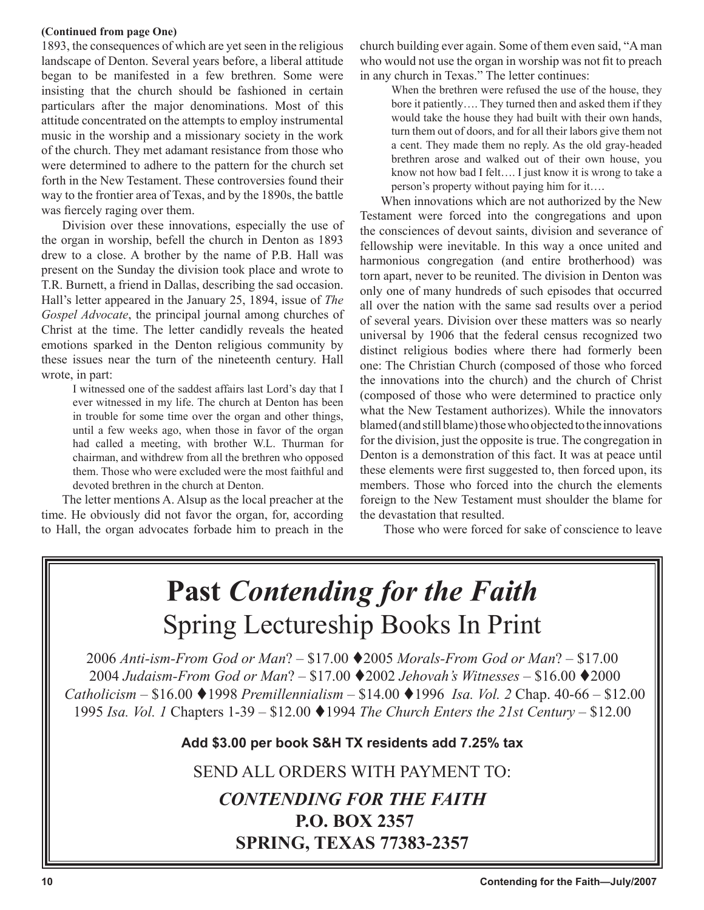#### **(Continued from page One)**

1893, the consequences of which are yet seen in the religious landscape of Denton. Several years before, a liberal attitude began to be manifested in a few brethren. Some were insisting that the church should be fashioned in certain particulars after the major denominations. Most of this attitude concentrated on the attempts to employ instrumental music in the worship and a missionary society in the work of the church. They met adamant resistance from those who were determined to adhere to the pattern for the church set forth in the New Testament. These controversies found their way to the frontier area of Texas, and by the 1890s, the battle was fiercely raging over them.

Division over these innovations, especially the use of the organ in worship, befell the church in Denton as 1893 drew to a close. A brother by the name of P.B. Hall was present on the Sunday the division took place and wrote to T.R. Burnett, a friend in Dallas, describing the sad occasion. Hall's letter appeared in the January 25, 1894, issue of *The Gospel Advocate*, the principal journal among churches of Christ at the time. The letter candidly reveals the heated emotions sparked in the Denton religious community by these issues near the turn of the nineteenth century. Hall wrote, in part:

> I witnessed one of the saddest affairs last Lord's day that I ever witnessed in my life. The church at Denton has been in trouble for some time over the organ and other things, until a few weeks ago, when those in favor of the organ had called a meeting, with brother W.L. Thurman for chairman, and withdrew from all the brethren who opposed them. Those who were excluded were the most faithful and devoted brethren in the church at Denton.

The letter mentions A. Alsup as the local preacher at the time. He obviously did not favor the organ, for, according to Hall, the organ advocates forbade him to preach in the

church building ever again. Some of them even said, "A man who would not use the organ in worship was not fit to preach in any church in Texas." The letter continues:

> When the brethren were refused the use of the house, they bore it patiently…. They turned then and asked them if they would take the house they had built with their own hands, turn them out of doors, and for all their labors give them not a cent. They made them no reply. As the old gray-headed brethren arose and walked out of their own house, you know not how bad I felt…. I just know it is wrong to take a person's property without paying him for it….

When innovations which are not authorized by the New Testament were forced into the congregations and upon the consciences of devout saints, division and severance of fellowship were inevitable. In this way a once united and harmonious congregation (and entire brotherhood) was torn apart, never to be reunited. The division in Denton was only one of many hundreds of such episodes that occurred all over the nation with the same sad results over a period of several years. Division over these matters was so nearly universal by 1906 that the federal census recognized two distinct religious bodies where there had formerly been one: The Christian Church (composed of those who forced the innovations into the church) and the church of Christ (composed of those who were determined to practice only what the New Testament authorizes). While the innovators blamed (and still blame) those who objected to the innovations for the division, just the opposite is true. The congregation in Denton is a demonstration of this fact. It was at peace until these elements were first suggested to, then forced upon, its members. Those who forced into the church the elements foreign to the New Testament must shoulder the blame for the devastation that resulted.

Those who were forced for sake of conscience to leave

# **Past** *Contending for the Faith* Spring Lectureship Books In Print

*Anti-ism-From God or Man*? – \$17.00 2005 *Morals-From God or Man*? – \$17.00 *Judaism-From God or Man*? – \$17.00 2002 *Jehovah's Witnesses –* \$16.00 2000 *Catholicism –* \$16.00 1998 *Premillennialism –* \$14.00 1996 *Isa. Vol. 2* Chap. 40-66 – \$12.00 *Isa. Vol. 1* Chapters 1-39 – \$12.00 1994 *The Church Enters the 21st Century* – \$12.00

**Add \$3.00 per book S&H TX residents add 7.25% tax**

SEND ALL ORDERS WITH PAYMENT TO:

### *CONTENDING FOR THE FAITH* **P.O. BOX 2357 SPRING, TEXAS 77383-2357**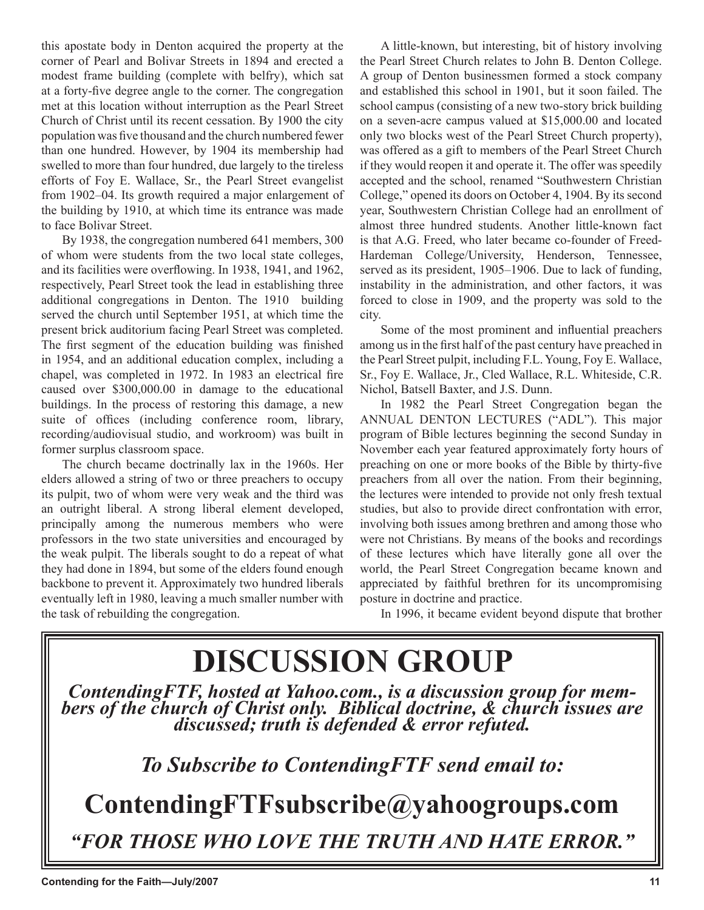this apostate body in Denton acquired the property at the corner of Pearl and Bolivar Streets in 1894 and erected a modest frame building (complete with belfry), which sat at a forty-five degree angle to the corner. The congregation met at this location without interruption as the Pearl Street Church of Christ until its recent cessation. By 1900 the city population was five thousand and the church numbered fewer than one hundred. However, by 1904 its membership had swelled to more than four hundred, due largely to the tireless efforts of Foy E. Wallace, Sr., the Pearl Street evangelist from 1902–04. Its growth required a major enlargement of the building by 1910, at which time its entrance was made to face Bolivar Street.

By 1938, the congregation numbered 641 members, 300 of whom were students from the two local state colleges, and its facilities were overflowing. In 1938, 1941, and 1962, respectively, Pearl Street took the lead in establishing three additional congregations in Denton. The 1910 building served the church until September 1951, at which time the present brick auditorium facing Pearl Street was completed. The first segment of the education building was finished in 1954, and an additional education complex, including a chapel, was completed in 1972. In 1983 an electrical fire caused over \$300,000.00 in damage to the educational buildings. In the process of restoring this damage, a new suite of offices (including conference room, library, recording/audiovisual studio, and workroom) was built in former surplus classroom space.

The church became doctrinally lax in the 1960s. Her elders allowed a string of two or three preachers to occupy its pulpit, two of whom were very weak and the third was an outright liberal. A strong liberal element developed, principally among the numerous members who were professors in the two state universities and encouraged by the weak pulpit. The liberals sought to do a repeat of what they had done in 1894, but some of the elders found enough backbone to prevent it. Approximately two hundred liberals eventually left in 1980, leaving a much smaller number with the task of rebuilding the congregation.

A little-known, but interesting, bit of history involving the Pearl Street Church relates to John B. Denton College. A group of Denton businessmen formed a stock company and established this school in 1901, but it soon failed. The school campus (consisting of a new two-story brick building on a seven-acre campus valued at \$15,000.00 and located only two blocks west of the Pearl Street Church property), was offered as a gift to members of the Pearl Street Church if they would reopen it and operate it. The offer was speedily accepted and the school, renamed "Southwestern Christian College," opened its doors on October 4, 1904. By its second year, Southwestern Christian College had an enrollment of almost three hundred students. Another little-known fact is that A.G. Freed, who later became co-founder of Freed-Hardeman College/University, Henderson, Tennessee, served as its president, 1905–1906. Due to lack of funding, instability in the administration, and other factors, it was forced to close in 1909, and the property was sold to the city.

Some of the most prominent and influential preachers among us in the first half of the past century have preached in the Pearl Street pulpit, including F.L. Young, Foy E. Wallace, Sr., Foy E. Wallace, Jr., Cled Wallace, R.L. Whiteside, C.R. Nichol, Batsell Baxter, and J.S. Dunn.

In 1982 the Pearl Street Congregation began the ANNUAL DENTON LECTURES ("ADL"). This major program of Bible lectures beginning the second Sunday in November each year featured approximately forty hours of preaching on one or more books of the Bible by thirty-five preachers from all over the nation. From their beginning, the lectures were intended to provide not only fresh textual studies, but also to provide direct confrontation with error, involving both issues among brethren and among those who were not Christians. By means of the books and recordings of these lectures which have literally gone all over the world, the Pearl Street Congregation became known and appreciated by faithful brethren for its uncompromising posture in doctrine and practice.

In 1996, it became evident beyond dispute that brother

# **DISCUSSION GROUP** *ContendingFTF, hosted at Yahoo.com., is a discussion group for mem- bers of the church of Christ only. Biblical doctrine, & church issues are discussed; truth is defended & error refuted. To Subscribe to ContendingFTF send email to:* **ContendingFTFsubscribe@yahoogroups.com** *"FOR THOSE WHO LOVE THE TRUTH AND HATE ERROR."*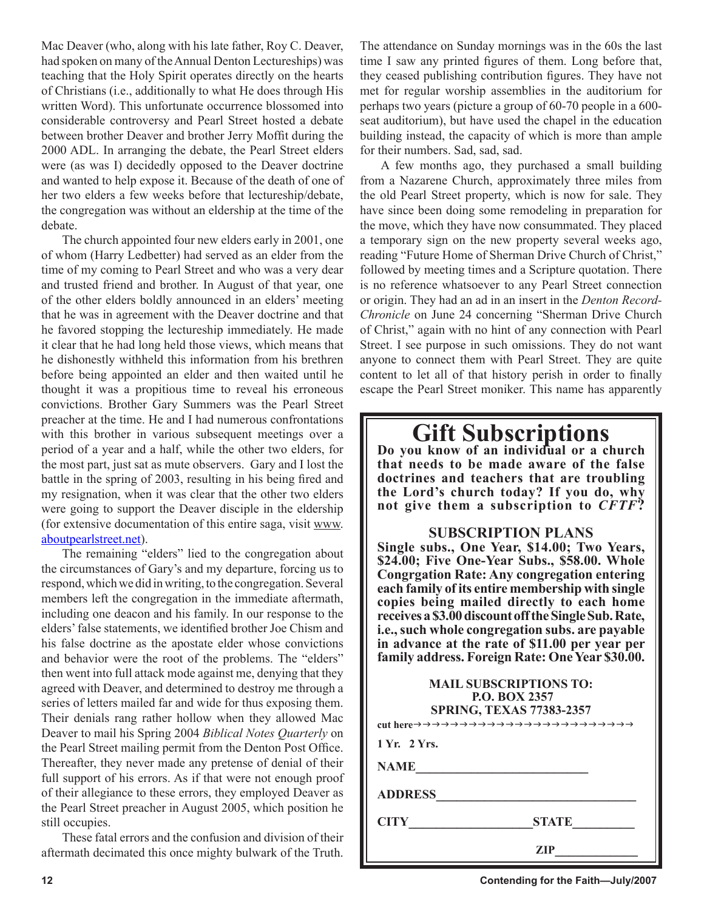Mac Deaver (who, along with his late father, Roy C. Deaver, had spoken on many of the Annual Denton Lectureships) was teaching that the Holy Spirit operates directly on the hearts of Christians (i.e., additionally to what He does through His written Word). This unfortunate occurrence blossomed into considerable controversy and Pearl Street hosted a debate between brother Deaver and brother Jerry Moffit during the 2000 ADL. In arranging the debate, the Pearl Street elders were (as was I) decidedly opposed to the Deaver doctrine and wanted to help expose it. Because of the death of one of her two elders a few weeks before that lectureship/debate, the congregation was without an eldership at the time of the debate.

The church appointed four new elders early in 2001, one of whom (Harry Ledbetter) had served as an elder from the time of my coming to Pearl Street and who was a very dear and trusted friend and brother. In August of that year, one of the other elders boldly announced in an elders' meeting that he was in agreement with the Deaver doctrine and that he favored stopping the lectureship immediately. He made it clear that he had long held those views, which means that he dishonestly withheld this information from his brethren before being appointed an elder and then waited until he thought it was a propitious time to reveal his erroneous convictions. Brother Gary Summers was the Pearl Street preacher at the time. He and I had numerous confrontations with this brother in various subsequent meetings over a period of a year and a half, while the other two elders, for the most part, just sat as mute observers. Gary and I lost the battle in the spring of 2003, resulting in his being fired and my resignation, when it was clear that the other two elders were going to support the Deaver disciple in the eldership (for extensive documentation of this entire saga, visit www. aboutpearlstreet.net).

The remaining "elders" lied to the congregation about the circumstances of Gary's and my departure, forcing us to respond, which we did in writing, to the congregation. Several members left the congregation in the immediate aftermath, including one deacon and his family. In our response to the elders' false statements, we identified brother Joe Chism and his false doctrine as the apostate elder whose convictions and behavior were the root of the problems. The "elders" then went into full attack mode against me, denying that they agreed with Deaver, and determined to destroy me through a series of letters mailed far and wide for thus exposing them. Their denials rang rather hollow when they allowed Mac Deaver to mail his Spring 2004 *Biblical Notes Quarterly* on the Pearl Street mailing permit from the Denton Post Office. Thereafter, they never made any pretense of denial of their full support of his errors. As if that were not enough proof of their allegiance to these errors, they employed Deaver as the Pearl Street preacher in August 2005, which position he still occupies.

These fatal errors and the confusion and division of their aftermath decimated this once mighty bulwark of the Truth. The attendance on Sunday mornings was in the 60s the last time I saw any printed figures of them. Long before that, they ceased publishing contribution figures. They have not met for regular worship assemblies in the auditorium for perhaps two years (picture a group of 60-70 people in a 600 seat auditorium), but have used the chapel in the education building instead, the capacity of which is more than ample for their numbers. Sad, sad, sad.

A few months ago, they purchased a small building from a Nazarene Church, approximately three miles from the old Pearl Street property, which is now for sale. They have since been doing some remodeling in preparation for the move, which they have now consummated. They placed a temporary sign on the new property several weeks ago, reading "Future Home of Sherman Drive Church of Christ," followed by meeting times and a Scripture quotation. There is no reference whatsoever to any Pearl Street connection or origin. They had an ad in an insert in the *Denton Record-Chronicle* on June 24 concerning "Sherman Drive Church of Christ," again with no hint of any connection with Pearl Street. I see purpose in such omissions. They do not want anyone to connect them with Pearl Street. They are quite content to let all of that history perish in order to finally escape the Pearl Street moniker. This name has apparently

# **Gift Subscriptions Do you know of an individual or a church**

**that needs to be made aware of the false doctrines and teachers that are troubling the Lord's church today? If you do, why not give them a subscription to** *CFTF***?**

#### **SUBSCRIPTION PLANS**

**Single subs., One Year, \$14.00; Two Years, \$24.00; Five One-Year Subs., \$58.00. Whole Congrgation Rate: Any congregation entering each family of its entire membership with single copies being mailed directly to each home receives a \$3.00 discount off the Single Sub. Rate, i.e., such whole congregation subs. are payable in advance at the rate of \$11.00 per year per family address. Foreign Rate: One Year \$30.00.**

| <b>MAIL SUBSCRIPTIONS TO:</b><br><b>P.O. BOX 2357</b><br><b>SPRING, TEXAS 77383-2357</b> |              |  |
|------------------------------------------------------------------------------------------|--------------|--|
| 1 Yr. 2 Yrs.                                                                             |              |  |
| <b>NAME</b>                                                                              |              |  |
| <b>ADDRESS</b>                                                                           |              |  |
| <b>CITY</b>                                                                              | <b>STATE</b> |  |
|                                                                                          | ZIP          |  |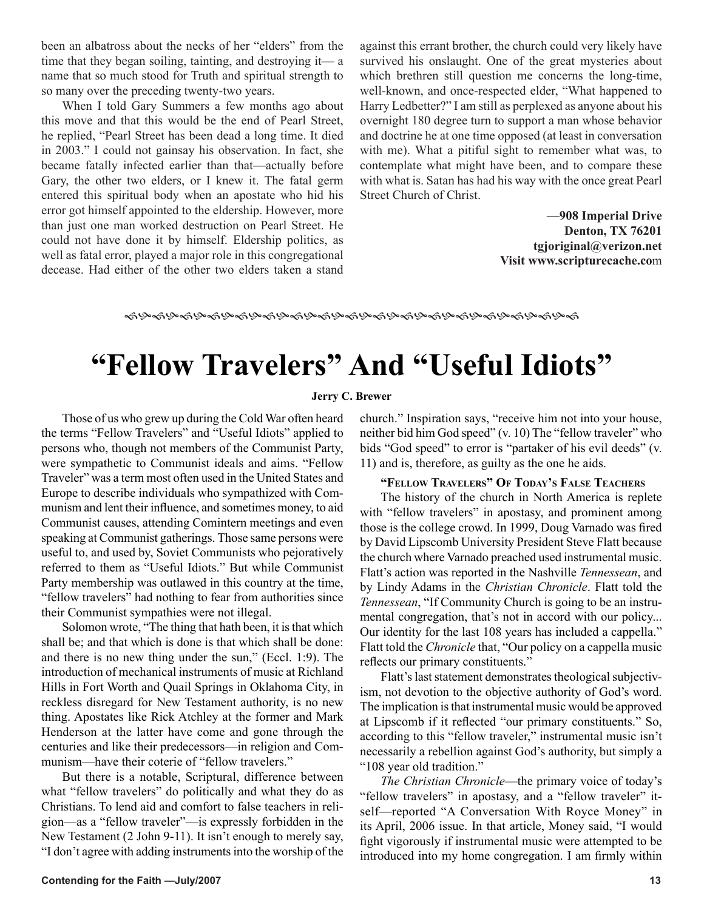been an albatross about the necks of her "elders" from the time that they began soiling, tainting, and destroying it— a name that so much stood for Truth and spiritual strength to so many over the preceding twenty-two years.

When I told Gary Summers a few months ago about this move and that this would be the end of Pearl Street, he replied, "Pearl Street has been dead a long time. It died in 2003." I could not gainsay his observation. In fact, she became fatally infected earlier than that—actually before Gary, the other two elders, or I knew it. The fatal germ entered this spiritual body when an apostate who hid his error got himself appointed to the eldership. However, more than just one man worked destruction on Pearl Street. He could not have done it by himself. Eldership politics, as well as fatal error, played a major role in this congregational decease. Had either of the other two elders taken a stand against this errant brother, the church could very likely have survived his onslaught. One of the great mysteries about which brethren still question me concerns the long-time, well-known, and once-respected elder, "What happened to Harry Ledbetter?" I am still as perplexed as anyone about his overnight 180 degree turn to support a man whose behavior and doctrine he at one time opposed (at least in conversation with me). What a pitiful sight to remember what was, to contemplate what might have been, and to compare these with what is. Satan has had his way with the once great Pearl Street Church of Christ.

> **—908 Imperial Drive Denton, TX 76201 tgjoriginal@verizon.net Visit www.scripturecache.co**m

#### 

# **"Fellow Travelers" And "Useful Idiots"**

#### **Jerry C. Brewer**

Those of us who grew up during the Cold War often heard the terms "Fellow Travelers" and "Useful Idiots" applied to persons who, though not members of the Communist Party, were sympathetic to Communist ideals and aims. "Fellow Traveler" was a term most often used in the United States and Europe to describe individuals who sympathized with Communism and lent their influence, and sometimes money, to aid Communist causes, attending Comintern meetings and even speaking at Communist gatherings. Those same persons were useful to, and used by, Soviet Communists who pejoratively referred to them as "Useful Idiots." But while Communist Party membership was outlawed in this country at the time, "fellow travelers" had nothing to fear from authorities since their Communist sympathies were not illegal.

Solomon wrote, "The thing that hath been, it is that which shall be; and that which is done is that which shall be done: and there is no new thing under the sun," (Eccl. 1:9). The introduction of mechanical instruments of music at Richland Hills in Fort Worth and Quail Springs in Oklahoma City, in reckless disregard for New Testament authority, is no new thing. Apostates like Rick Atchley at the former and Mark Henderson at the latter have come and gone through the centuries and like their predecessors—in religion and Communism—have their coterie of "fellow travelers."

But there is a notable, Scriptural, difference between what "fellow travelers" do politically and what they do as Christians. To lend aid and comfort to false teachers in religion—as a "fellow traveler"—is expressly forbidden in the New Testament (2 John 9-11). It isn't enough to merely say, "I don't agree with adding instruments into the worship of the church." Inspiration says, "receive him not into your house, neither bid him God speed" (v. 10) The "fellow traveler" who bids "God speed" to error is "partaker of his evil deeds" (v. 11) and is, therefore, as guilty as the one he aids.

#### **"FELLOW TRAVELERS" OF TODAY'S FALSE TEACHERS**

The history of the church in North America is replete with "fellow travelers" in apostasy, and prominent among those is the college crowd. In 1999, Doug Varnado was fired by David Lipscomb University President Steve Flatt because the church where Varnado preached used instrumental music. Flatt's action was reported in the Nashville *Tennessean*, and by Lindy Adams in the *Christian Chronicle*. Flatt told the *Tennessean*, "If Community Church is going to be an instrumental congregation, that's not in accord with our policy... Our identity for the last 108 years has included a cappella." Flatt told the *Chronicle* that, "Our policy on a cappella music reflects our primary constituents."

Flatt's last statement demonstrates theological subjectivism, not devotion to the objective authority of God's word. The implication is that instrumental music would be approved at Lipscomb if it reflected "our primary constituents." So, according to this "fellow traveler," instrumental music isn't necessarily a rebellion against God's authority, but simply a "108 year old tradition."

*The Christian Chronicle*—the primary voice of today's "fellow travelers" in apostasy, and a "fellow traveler" itself—reported "A Conversation With Royce Money" in its April, 2006 issue. In that article, Money said, "I would fight vigorously if instrumental music were attempted to be introduced into my home congregation. I am firmly within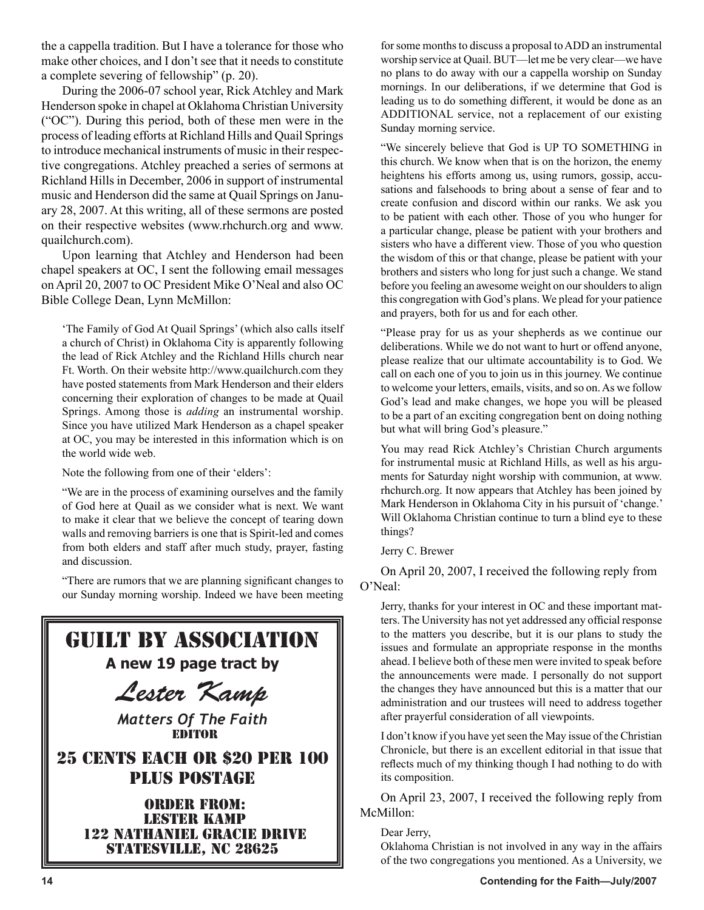the a cappella tradition. But I have a tolerance for those who make other choices, and I don't see that it needs to constitute a complete severing of fellowship" (p. 20).

During the 2006-07 school year, Rick Atchley and Mark Henderson spoke in chapel at Oklahoma Christian University ("OC"). During this period, both of these men were in the process of leading efforts at Richland Hills and Quail Springs to introduce mechanical instruments of music in their respective congregations. Atchley preached a series of sermons at Richland Hills in December, 2006 in support of instrumental music and Henderson did the same at Quail Springs on January 28, 2007. At this writing, all of these sermons are posted on their respective websites (www.rhchurch.org and www. quailchurch.com).

Upon learning that Atchley and Henderson had been chapel speakers at OC, I sent the following email messages on April 20, 2007 to OC President Mike O'Neal and also OC Bible College Dean, Lynn McMillon:

'The Family of God At Quail Springs' (which also calls itself a church of Christ) in Oklahoma City is apparently following the lead of Rick Atchley and the Richland Hills church near Ft. Worth. On their website http://www.quailchurch.com they have posted statements from Mark Henderson and their elders concerning their exploration of changes to be made at Quail Springs. Among those is *adding* an instrumental worship. Since you have utilized Mark Henderson as a chapel speaker at OC, you may be interested in this information which is on the world wide web.

Note the following from one of their 'elders':

"We are in the process of examining ourselves and the family of God here at Quail as we consider what is next. We want to make it clear that we believe the concept of tearing down walls and removing barriers is one that is Spirit-led and comes from both elders and staff after much study, prayer, fasting and discussion.

"There are rumors that we are planning significant changes to our Sunday morning worship. Indeed we have been meeting



for some months to discuss a proposal to ADD an instrumental worship service at Quail. BUT—let me be very clear—we have no plans to do away with our a cappella worship on Sunday mornings. In our deliberations, if we determine that God is leading us to do something different, it would be done as an ADDITIONAL service, not a replacement of our existing Sunday morning service.

"We sincerely believe that God is UP TO SOMETHING in this church. We know when that is on the horizon, the enemy heightens his efforts among us, using rumors, gossip, accusations and falsehoods to bring about a sense of fear and to create confusion and discord within our ranks. We ask you to be patient with each other. Those of you who hunger for a particular change, please be patient with your brothers and sisters who have a different view. Those of you who question the wisdom of this or that change, please be patient with your brothers and sisters who long for just such a change. We stand before you feeling an awesome weight on our shoulders to align this congregation with God's plans. We plead for your patience and prayers, both for us and for each other.

"Please pray for us as your shepherds as we continue our deliberations. While we do not want to hurt or offend anyone, please realize that our ultimate accountability is to God. We call on each one of you to join us in this journey. We continue to welcome your letters, emails, visits, and so on. As we follow God's lead and make changes, we hope you will be pleased to be a part of an exciting congregation bent on doing nothing but what will bring God's pleasure."

You may read Rick Atchley's Christian Church arguments for instrumental music at Richland Hills, as well as his arguments for Saturday night worship with communion, at www. rhchurch.org. It now appears that Atchley has been joined by Mark Henderson in Oklahoma City in his pursuit of 'change.' Will Oklahoma Christian continue to turn a blind eye to these things?

Jerry C. Brewer

On April 20, 2007, I received the following reply from O'Neal:

Jerry, thanks for your interest in OC and these important matters. The University has not yet addressed any official response to the matters you describe, but it is our plans to study the issues and formulate an appropriate response in the months ahead. I believe both of these men were invited to speak before the announcements were made. I personally do not support the changes they have announced but this is a matter that our administration and our trustees will need to address together after prayerful consideration of all viewpoints.

I don't know if you have yet seen the May issue of the Christian Chronicle, but there is an excellent editorial in that issue that reflects much of my thinking though I had nothing to do with its composition.

On April 23, 2007, I received the following reply from McMillon:

Dear Jerry,

Oklahoma Christian is not involved in any way in the affairs of the two congregations you mentioned. As a University, we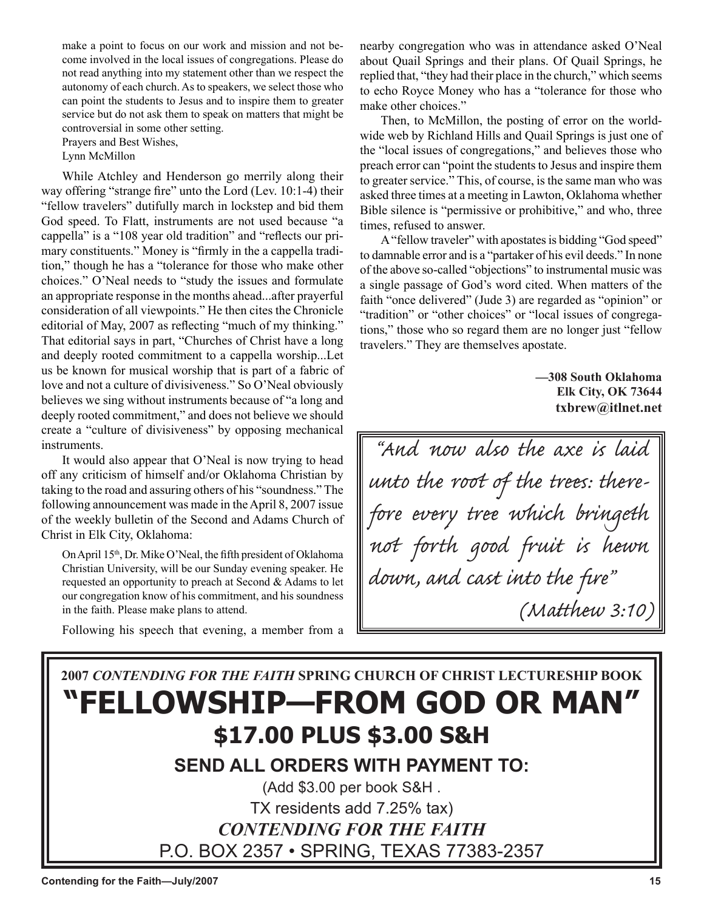make a point to focus on our work and mission and not become involved in the local issues of congregations. Please do not read anything into my statement other than we respect the autonomy of each church. As to speakers, we select those who can point the students to Jesus and to inspire them to greater service but do not ask them to speak on matters that might be controversial in some other setting.

Prayers and Best Wishes,

Lynn McMillon

While Atchley and Henderson go merrily along their way offering "strange fire" unto the Lord (Lev. 10:1-4) their "fellow travelers" dutifully march in lockstep and bid them God speed. To Flatt, instruments are not used because "a cappella" is a "108 year old tradition" and "reflects our primary constituents." Money is "firmly in the a cappella tradition," though he has a "tolerance for those who make other choices." O'Neal needs to "study the issues and formulate an appropriate response in the months ahead...after prayerful consideration of all viewpoints." He then cites the Chronicle editorial of May, 2007 as reflecting "much of my thinking." That editorial says in part, "Churches of Christ have a long and deeply rooted commitment to a cappella worship...Let us be known for musical worship that is part of a fabric of love and not a culture of divisiveness." So O'Neal obviously believes we sing without instruments because of "a long and deeply rooted commitment," and does not believe we should create a "culture of divisiveness" by opposing mechanical instruments.

It would also appear that O'Neal is now trying to head off any criticism of himself and/or Oklahoma Christian by taking to the road and assuring others of his "soundness." The following announcement was made in the April 8, 2007 issue of the weekly bulletin of the Second and Adams Church of Christ in Elk City, Oklahoma:

On April 15<sup>th</sup>, Dr. Mike O'Neal, the fifth president of Oklahoma Christian University, will be our Sunday evening speaker. He requested an opportunity to preach at Second & Adams to let our congregation know of his commitment, and his soundness in the faith. Please make plans to attend.

Following his speech that evening, a member from a

nearby congregation who was in attendance asked O'Neal about Quail Springs and their plans. Of Quail Springs, he replied that, "they had their place in the church," which seems to echo Royce Money who has a "tolerance for those who make other choices."

Then, to McMillon, the posting of error on the worldwide web by Richland Hills and Quail Springs is just one of the "local issues of congregations," and believes those who preach error can "point the students to Jesus and inspire them to greater service." This, of course, is the same man who was asked three times at a meeting in Lawton, Oklahoma whether Bible silence is "permissive or prohibitive," and who, three times, refused to answer.

A "fellow traveler" with apostates is bidding "God speed" to damnable error and is a "partaker of his evil deeds." In none of the above so-called "objections" to instrumental music was a single passage of God's word cited. When matters of the faith "once delivered" (Jude 3) are regarded as "opinion" or "tradition" or "other choices" or "local issues of congregations," those who so regard them are no longer just "fellow travelers." They are themselves apostate.

> **—308 South Oklahoma Elk City, OK 73644 txbrew@itlnet.net**

"And now also the axe is laid unto the root of the trees: therefore every tree which bringeth not forth good fruit is hewn down, and cast into the fire" (Matthew 3:10)

## **2007** *CONTENDING FOR THE FAITH* **SPRING CHURCH OF CHRIST LECTURESHIP BOOK "FELLOWSHIP—FROM GOD OR MAN" \$17.00 PLUS \$3.00 S&H**

**SEND ALL ORDERS WITH PAYMENT TO:**

(Add \$3.00 per book S&H . TX residents add 7.25% tax) *CONTENDING FOR THE FAITH* P.O. BOX 2357 • SPRING, TEXAS 77383-2357